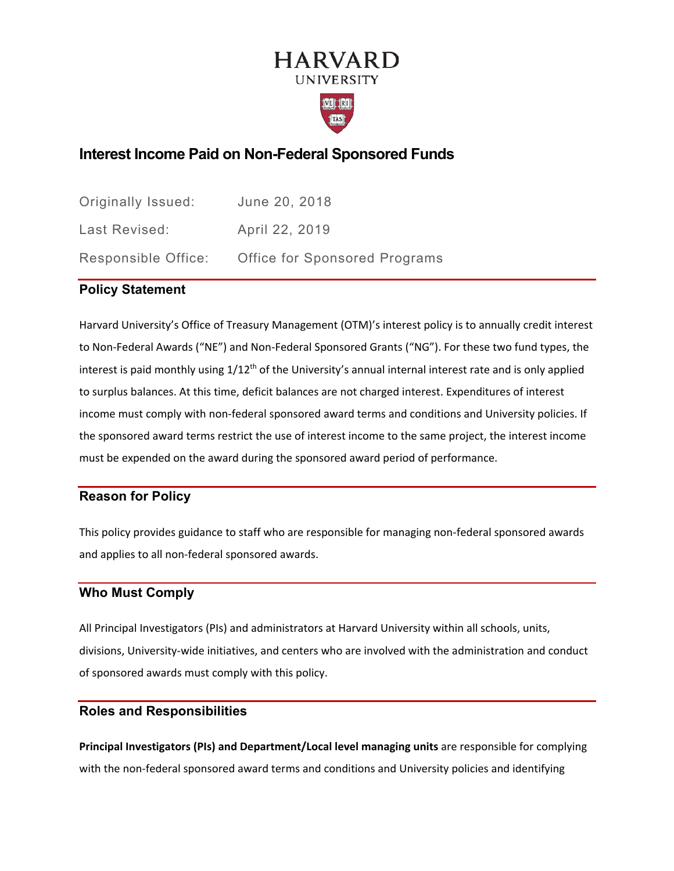# **HARVARD UNIVERSITY**



# **Interest Income Paid on Non-Federal Sponsored Funds**

| Originally Issued:  | June 20, 2018                        |
|---------------------|--------------------------------------|
| Last Revised:       | April 22, 2019                       |
| Responsible Office: | <b>Office for Sponsored Programs</b> |

### **Policy Statement**

Harvard University's Office of Treasury Management (OTM)'s interest policy is to annually credit interest to Non-Federal Awards ("NE") and Non-Federal Sponsored Grants ("NG"). For these two fund types, the interest is paid monthly using  $1/12<sup>th</sup>$  of the University's annual internal interest rate and is only applied to surplus balances. At this time, deficit balances are not charged interest. Expenditures of interest income must comply with non-federal sponsored award terms and conditions and University policies. If the sponsored award terms restrict the use of interest income to the same project, the interest income must be expended on the award during the sponsored award period of performance.

### **Reason for Policy**

This policy provides guidance to staff who are responsible for managing non-federal sponsored awards and applies to all non-federal sponsored awards.

### **Who Must Comply**

All Principal Investigators (PIs) and administrators at Harvard University within all schools, units, divisions, University-wide initiatives, and centers who are involved with the administration and conduct of sponsored awards must comply with this policy.

### **Roles and Responsibilities**

**Principal Investigators (PIs) and Department/Local level managing units** are responsible for complying with the non-federal sponsored award terms and conditions and University policies and identifying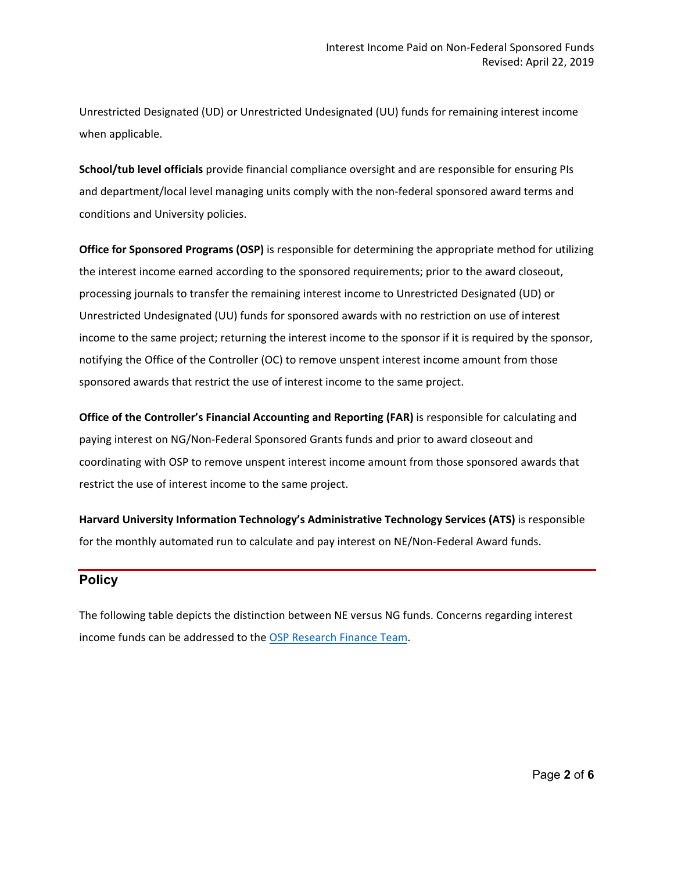Unrestricted Designated (UD) or Unrestricted Undesignated (UU) funds for remaining interest income when applicable.

**School/tub level officials** provide financial compliance oversight and are responsible for ensuring PIs and department/local level managing units comply with the non-federal sponsored award terms and conditions and University policies.

**Office for Sponsored Programs (OSP)** is responsible for determining the appropriate method for utilizing the interest income earned according to the sponsored requirements; prior to the award closeout, processing journals to transfer the remaining interest income to Unrestricted Designated (UD) or Unrestricted Undesignated (UU) funds for sponsored awards with no restriction on use of interest income to the same project; returning the interest income to the sponsor if it is required by the sponsor, notifying the Office of the Controller (OC) to remove unspent interest income amount from those sponsored awards that restrict the use of interest income to the same project.

**Office of the Controller's Financial Accounting and Reporting (FAR)** is responsible for calculating and paying interest on NG/Non-Federal Sponsored Grants funds and prior to award closeout and coordinating with OSP to remove unspent interest income amount from those sponsored awards that restrict the use of interest income to the same project.

**Harvard University Information Technology's Administrative Technology Services (ATS)** is responsible for the monthly automated run to calculate and pay interest on NE/Non-Federal Award funds.

### **Policy**

The following table depicts the distinction between NE versus NG funds. Concerns regarding interest income funds can be addressed to the [OSP Research Finance Team.](https://osp.finance.harvard.edu/osp-people)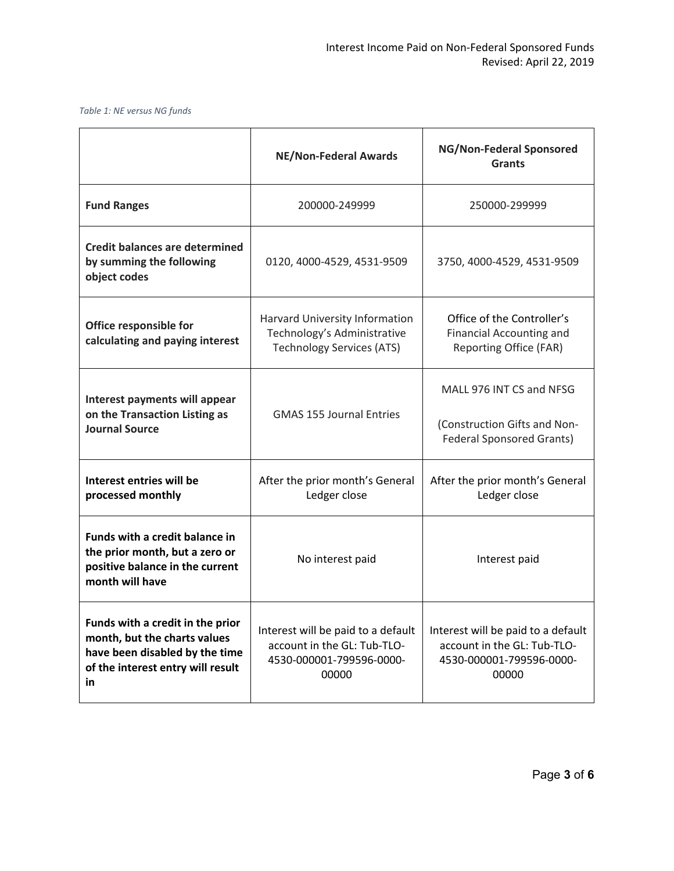#### *Table 1: NE versus NG funds*

|                                                                                                                                               | <b>NE/Non-Federal Awards</b>                                                                           | NG/Non-Federal Sponsored<br><b>Grants</b>                                                              |
|-----------------------------------------------------------------------------------------------------------------------------------------------|--------------------------------------------------------------------------------------------------------|--------------------------------------------------------------------------------------------------------|
| <b>Fund Ranges</b>                                                                                                                            | 200000-249999                                                                                          | 250000-299999                                                                                          |
| <b>Credit balances are determined</b><br>by summing the following<br>object codes                                                             | 0120, 4000-4529, 4531-9509                                                                             | 3750, 4000-4529, 4531-9509                                                                             |
| Office responsible for<br>calculating and paying interest                                                                                     | Harvard University Information<br>Technology's Administrative<br><b>Technology Services (ATS)</b>      | Office of the Controller's<br><b>Financial Accounting and</b><br>Reporting Office (FAR)                |
| Interest payments will appear<br>on the Transaction Listing as<br><b>Journal Source</b>                                                       | <b>GMAS 155 Journal Entries</b>                                                                        | MALL 976 INT CS and NFSG<br>(Construction Gifts and Non-<br><b>Federal Sponsored Grants)</b>           |
| Interest entries will be<br>processed monthly                                                                                                 | After the prior month's General<br>Ledger close                                                        | After the prior month's General<br>Ledger close                                                        |
| <b>Funds with a credit balance in</b><br>the prior month, but a zero or<br>positive balance in the current<br>month will have                 | No interest paid                                                                                       | Interest paid                                                                                          |
| Funds with a credit in the prior<br>month, but the charts values<br>have been disabled by the time<br>of the interest entry will result<br>in | Interest will be paid to a default<br>account in the GL: Tub-TLO-<br>4530-000001-799596-0000-<br>00000 | Interest will be paid to a default<br>account in the GL: Tub-TLO-<br>4530-000001-799596-0000-<br>00000 |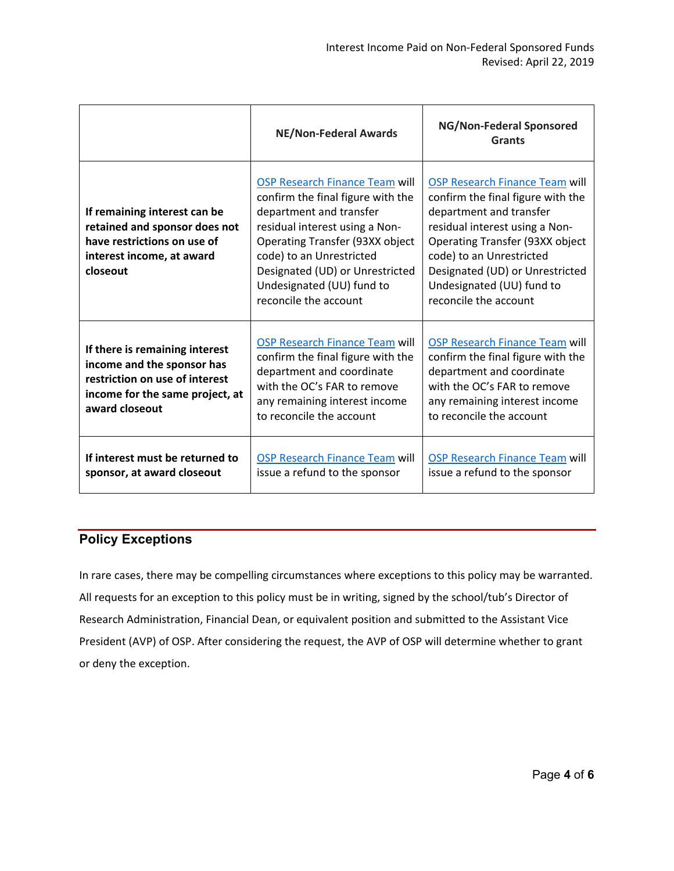|                                                                                                                                                     | <b>NE/Non-Federal Awards</b>                                                                                                                                                                                                                                                                    | NG/Non-Federal Sponsored<br><b>Grants</b>                                                                                                                                                                                                                                                       |
|-----------------------------------------------------------------------------------------------------------------------------------------------------|-------------------------------------------------------------------------------------------------------------------------------------------------------------------------------------------------------------------------------------------------------------------------------------------------|-------------------------------------------------------------------------------------------------------------------------------------------------------------------------------------------------------------------------------------------------------------------------------------------------|
| If remaining interest can be<br>retained and sponsor does not<br>have restrictions on use of<br>interest income, at award<br>closeout               | <b>OSP Research Finance Team will</b><br>confirm the final figure with the<br>department and transfer<br>residual interest using a Non-<br>Operating Transfer (93XX object<br>code) to an Unrestricted<br>Designated (UD) or Unrestricted<br>Undesignated (UU) fund to<br>reconcile the account | <b>OSP Research Finance Team will</b><br>confirm the final figure with the<br>department and transfer<br>residual interest using a Non-<br>Operating Transfer (93XX object<br>code) to an Unrestricted<br>Designated (UD) or Unrestricted<br>Undesignated (UU) fund to<br>reconcile the account |
| If there is remaining interest<br>income and the sponsor has<br>restriction on use of interest<br>income for the same project, at<br>award closeout | <b>OSP Research Finance Team will</b><br>confirm the final figure with the<br>department and coordinate<br>with the OC's FAR to remove<br>any remaining interest income<br>to reconcile the account                                                                                             | <b>OSP Research Finance Team will</b><br>confirm the final figure with the<br>department and coordinate<br>with the OC's FAR to remove<br>any remaining interest income<br>to reconcile the account                                                                                             |
| If interest must be returned to<br>sponsor, at award closeout                                                                                       | <b>OSP Research Finance Team will</b><br>issue a refund to the sponsor                                                                                                                                                                                                                          | <b>OSP Research Finance Team will</b><br>issue a refund to the sponsor                                                                                                                                                                                                                          |

## **Policy Exceptions**

In rare cases, there may be compelling circumstances where exceptions to this policy may be warranted. All requests for an exception to this policy must be in writing, signed by the school/tub's Director of Research Administration, Financial Dean, or equivalent position and submitted to the Assistant Vice President (AVP) of OSP. After considering the request, the AVP of OSP will determine whether to grant or deny the exception.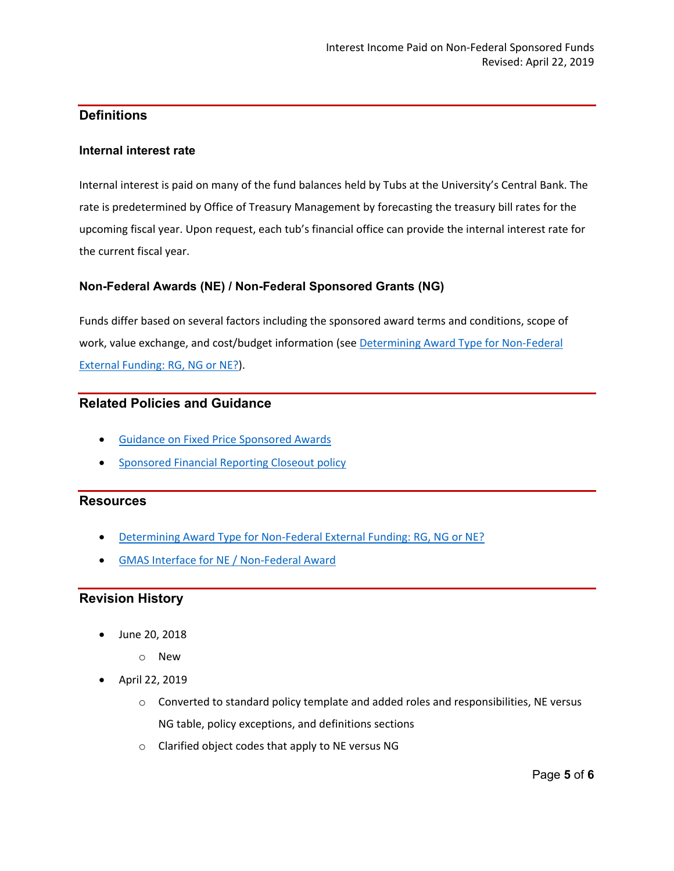## **Definitions**

### **Internal interest rate**

Internal interest is paid on many of the fund balances held by Tubs at the University's Central Bank. The rate is predetermined by Office of Treasury Management by forecasting the treasury bill rates for the upcoming fiscal year. Upon request, each tub's financial office can provide the internal interest rate for the current fiscal year.

### **Non-Federal Awards (NE) / Non-Federal Sponsored Grants (NG)**

Funds differ based on several factors including the sponsored award terms and conditions, scope of work, value exchange, and cost/budget information (se[e Determining Award Type for Non-Federal](https://osp.finance.harvard.edu/files/office-for-sponsored-programs/files/determining_award_type_for_non-federal_external_funding.pdf)  [External Funding: RG, NG or NE?\)](https://osp.finance.harvard.edu/files/office-for-sponsored-programs/files/determining_award_type_for_non-federal_external_funding.pdf).

### **Related Policies and Guidance**

- [Guidance on Fixed Price Sponsored Awards](https://osp.finance.harvard.edu/guidance-fixed-price-sponsored-awards)
- [Sponsored Financial Reporting Closeout policy](https://osp.finance.harvard.edu/sponsored-financial-reporting-and-closeout-policy)

#### **Resources**

- [Determining Award Type for Non-Federal External Funding: RG, NG or NE?](https://osp.finance.harvard.edu/files/office-for-sponsored-programs/files/determining_award_type_for_non-federal_external_funding.pdf)
- [GMAS Interface for NE / Non-Federal Award](https://gmas.fss.harvard.edu/gmas-interfaces#NEinterface)

### **Revision History**

- June 20, 2018
	- o New
- April 22, 2019
	- o Converted to standard policy template and added roles and responsibilities, NE versus NG table, policy exceptions, and definitions sections
	- o Clarified object codes that apply to NE versus NG